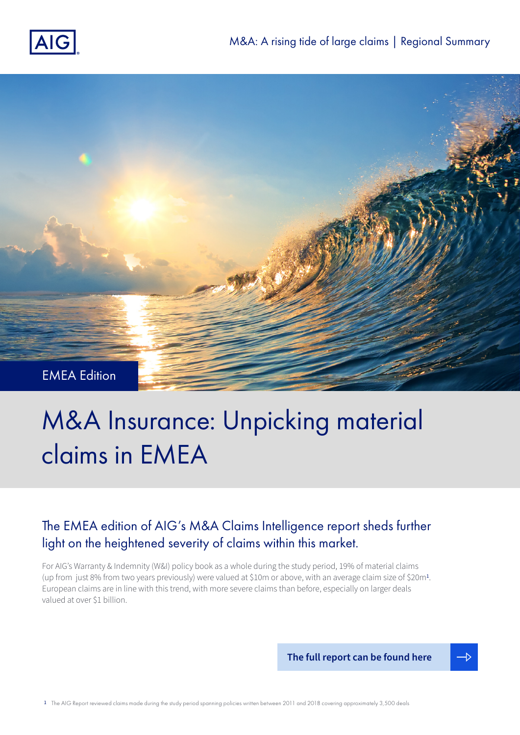



# M&A Insurance: Unpicking material claims in EMEA

# The EMEA edition of AIG's M&A Claims Intelligence report sheds further light on the heightened severity of claims within this market.

For AIG's Warranty & Indemnity (W&I) policy book as a whole during the study period, 19% of material claims (up from just 8% from two years previously) were valued at \$10m or above, with an average claim size of \$20m<sup>1</sup> . European claims are in line with this trend, with more severe claims than before, especially on larger deals valued at over \$1 billion.

**[The full report can be found here](https://www.aig.com/content/dam/aig/america-canada/us/documents/business/management-liability/aig-manda-2020-w-and-i.pdf)**